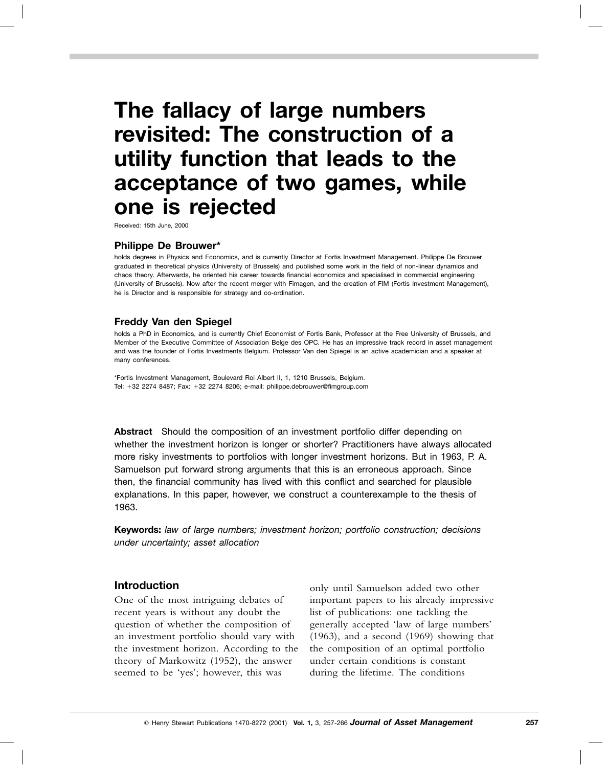# **The fallacy of large numbers revisited: The construction of a utility function that leads to the acceptance of two games, while one is rejected**

Received: 15th June, 2000

#### **Philippe De Brouwer\***

holds degrees in Physics and Economics, and is currently Director at Fortis Investment Management. Philippe De Brouwer graduated in theoretical physics (University of Brussels) and published some work in the field of non-linear dynamics and chaos theory. Afterwards, he oriented his career towards financial economics and specialised in commercial engineering (University of Brussels). Now after the recent merger with Fimagen, and the creation of FIM (Fortis Investment Management), he is Director and is responsible for strategy and co-ordination.

#### **Freddy Van den Spiegel**

holds a PhD in Economics, and is currently Chief Economist of Fortis Bank, Professor at the Free University of Brussels, and Member of the Executive Committee of Association Belge des OPC. He has an impressive track record in asset management and was the founder of Fortis Investments Belgium. Professor Van den Spiegel is an active academician and a speaker at many conferences.

\*Fortis Investment Management, Boulevard Roi Albert II, 1, 1210 Brussels, Belgium. Tel: +32 2274 8487; Fax: +32 2274 8206; e-mail: philippe.debrouwer@fimgroup.com

**Abstract** Should the composition of an investment portfolio differ depending on whether the investment horizon is longer or shorter? Practitioners have always allocated more risky investments to portfolios with longer investment horizons. But in 1963, P. A. Samuelson put forward strong arguments that this is an erroneous approach. Since then, the financial community has lived with this conflict and searched for plausible explanations. In this paper, however, we construct a counterexample to the thesis of 1963.

**Keywords:** *law of large numbers; investment horizon; portfolio construction; decisions under uncertainty; asset allocation*

#### **Introduction**

One of the most intriguing debates of recent years is without any doubt the question of whether the composition of an investment portfolio should vary with the investment horizon. According to the theory of Markowitz (1952), the answer seemed to be 'yes'; however, this was

only until Samuelson added two other important papers to his already impressive list of publications: one tackling the generally accepted 'law of large numbers' (1963), and a second (1969) showing that the composition of an optimal portfolio under certain conditions is constant during the lifetime. The conditions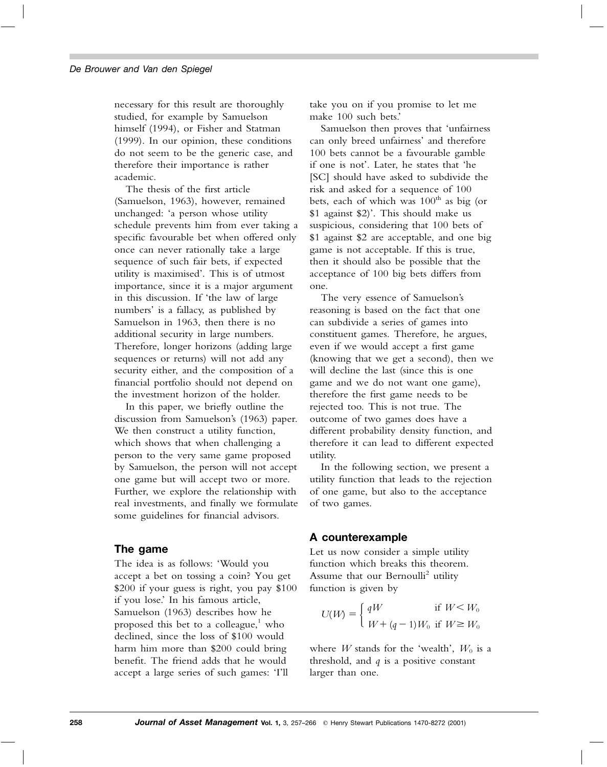necessary for this result are thoroughly studied, for example by Samuelson himself (1994), or Fisher and Statman (1999). In our opinion, these conditions do not seem to be the generic case, and therefore their importance is rather academic.

The thesis of the first article (Samuelson, 1963), however, remained unchanged: 'a person whose utility schedule prevents him from ever taking a specific favourable bet when offered only once can never rationally take a large sequence of such fair bets, if expected utility is maximised'. This is of utmost importance, since it is a major argument in this discussion. If 'the law of large numbers' is a fallacy, as published by Samuelson in 1963, then there is no additional security in large numbers. Therefore, longer horizons (adding large sequences or returns) will not add any security either, and the composition of a financial portfolio should not depend on the investment horizon of the holder.

In this paper, we briefly outline the discussion from Samuelson's (1963) paper. We then construct a utility function, which shows that when challenging a person to the very same game proposed by Samuelson, the person will not accept one game but will accept two or more. Further, we explore the relationship with real investments, and finally we formulate some guidelines for financial advisors.

#### **The game**

The idea is as follows: 'Would you accept a bet on tossing a coin? You get \$200 if your guess is right, you pay \$100 if you lose.' In his famous article, Samuelson (1963) describes how he proposed this bet to a colleague, $\frac{1}{1}$  who declined, since the loss of \$100 would harm him more than \$200 could bring benefit. The friend adds that he would accept a large series of such games: 'I'll

take you on if you promise to let me make 100 such bets.'

Samuelson then proves that 'unfairness can only breed unfairness' and therefore 100 bets cannot be a favourable gamble if one is not'. Later, he states that 'he [SC] should have asked to subdivide the risk and asked for a sequence of 100 bets, each of which was  $100<sup>th</sup>$  as big (or \$1 against \$2)'. This should make us suspicious, considering that 100 bets of \$1 against \$2 are acceptable, and one big game is not acceptable. If this is true, then it should also be possible that the acceptance of 100 big bets differs from one.

The very essence of Samuelson's reasoning is based on the fact that one can subdivide a series of games into constituent games. Therefore, he argues, even if we would accept a first game (knowing that we get a second), then we will decline the last (since this is one game and we do not want one game), therefore the first game needs to be rejected too. This is not true. The outcome of two games does have a different probability density function, and therefore it can lead to different expected utility.

In the following section, we present a utility function that leads to the rejection of one game, but also to the acceptance of two games.

## **A counterexample**

Let us now consider a simple utility function which breaks this theorem. Assume that our Bernoulli<sup>2</sup> utility function is given by

$$
U(W) = \begin{cases} qW & \text{if } W < W_0 \\ W + (q-1)W_0 & \text{if } W \geq W_0 \end{cases}
$$

where *W* stands for the 'wealth',  $W_0$  is a threshold, and *q* is a positive constant larger than one.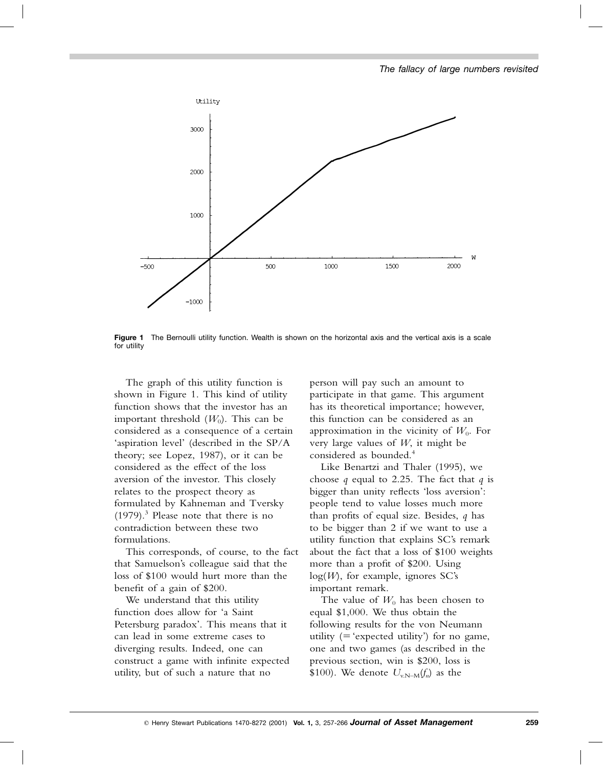

**Figure 1** The Bernoulli utility function. Wealth is shown on the horizontal axis and the vertical axis is a scale for utility

The graph of this utility function is shown in Figure 1. This kind of utility function shows that the investor has an important threshold  $(W_0)$ . This can be considered as a consequence of a certain 'aspiration level' (described in the SP/A theory; see Lopez, 1987), or it can be considered as the effect of the loss aversion of the investor. This closely relates to the prospect theory as formulated by Kahneman and Tversky  $(1979).$ <sup>3</sup> Please note that there is no contradiction between these two formulations.

This corresponds, of course, to the fact that Samuelson's colleague said that the loss of \$100 would hurt more than the benefit of a gain of \$200.

We understand that this utility function does allow for 'a Saint Petersburg paradox'. This means that it can lead in some extreme cases to diverging results. Indeed, one can construct a game with infinite expected utility, but of such a nature that no

person will pay such an amount to participate in that game. This argument has its theoretical importance; however, this function can be considered as an approximation in the vicinity of  $W_0$ . For very large values of *W*, it might be considered as bounded.<sup>4</sup>

Like Benartzi and Thaler (1995), we choose *q* equal to 2.25. The fact that *q* is bigger than unity reflects 'loss aversion': people tend to value losses much more than profits of equal size. Besides, *q* has to be bigger than 2 if we want to use a utility function that explains SC's remark about the fact that a loss of \$100 weights more than a profit of \$200. Using log(*W*), for example, ignores SC's important remark.

The value of  $W_0$  has been chosen to equal \$1,000. We thus obtain the following results for the von Neumann utility  $($  = 'expected utility') for no game, one and two games (as described in the previous section, win is \$200, loss is \$100). We denote  $U_{v,N-M}(f_n)$  as the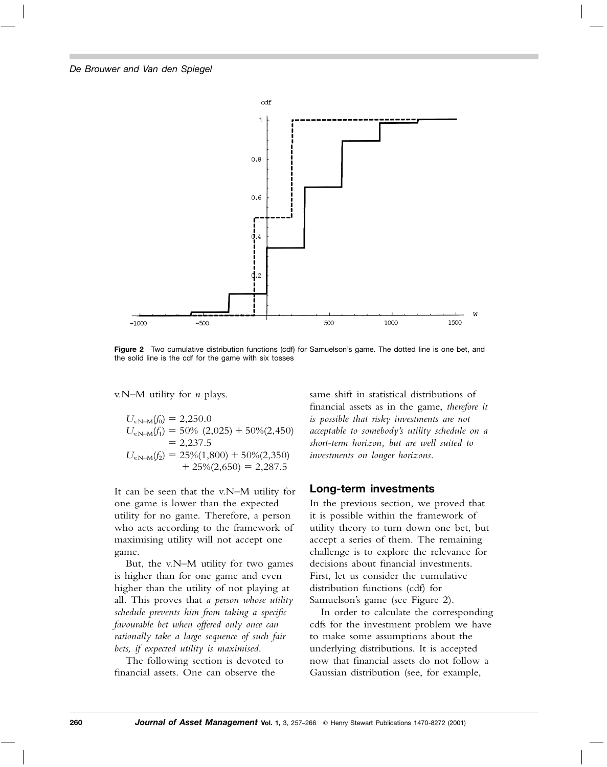

**Figure 2** Two cumulative distribution functions (cdf) for Samuelson's game. The dotted line is one bet, and the solid line is the cdf for the game with six tosses

v.N–M utility for *n* plays.

$$
U_{v.N-M}(f_0) = 2,250.0
$$
  
\n
$$
U_{v.N-M}(f_1) = 50\% (2,025) + 50\% (2,450)
$$
  
\n
$$
= 2,237.5
$$
  
\n
$$
U_{v.N-M}(f_2) = 25\% (1,800) + 50\% (2,350)
$$
  
\n
$$
+ 25\% (2,650) = 2,287.5
$$

It can be seen that the v.N–M utility for one game is lower than the expected utility for no game. Therefore, a person who acts according to the framework of maximising utility will not accept one game.

But, the v.N–M utility for two games is higher than for one game and even higher than the utility of not playing at all. This proves that *a person whose utility schedule prevents him from taking a specific favourable bet when offered only once can rationally take a large sequence of such fair bets, if expected utility is maximised*.

The following section is devoted to financial assets. One can observe the

same shift in statistical distributions of financial assets as in the game, *therefore it is possible that risky investments are not acceptable to somebody's utility schedule on a short-term horizon, but are well suited to investments on longer horizons*.

#### **Long-term investments**

In the previous section, we proved that it is possible within the framework of utility theory to turn down one bet, but accept a series of them. The remaining challenge is to explore the relevance for decisions about financial investments. First, let us consider the cumulative distribution functions (cdf) for Samuelson's game (see Figure 2).

In order to calculate the corresponding cdfs for the investment problem we have to make some assumptions about the underlying distributions. It is accepted now that financial assets do not follow a Gaussian distribution (see, for example,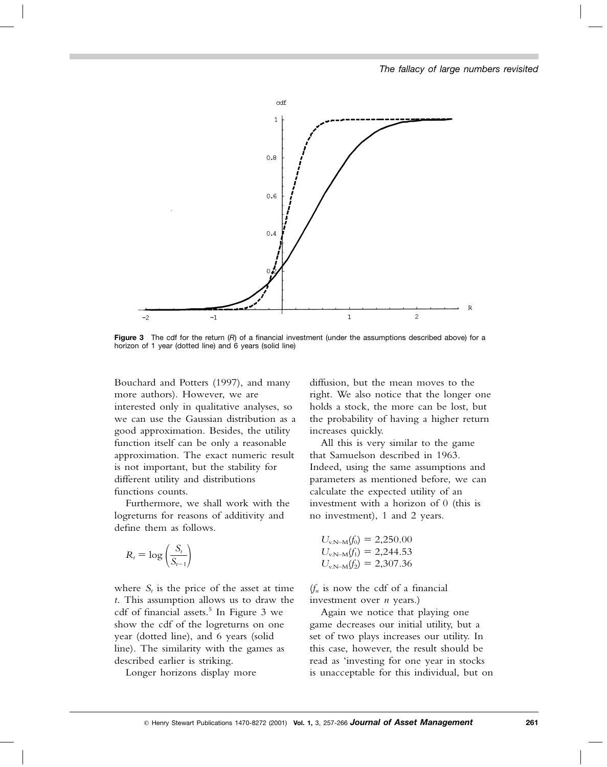

**Figure 3** The cdf for the return (*R*) of a financial investment (under the assumptions described above) for a horizon of 1 year (dotted line) and 6 years (solid line)

Bouchard and Potters (1997), and many more authors). However, we are interested only in qualitative analyses, so we can use the Gaussian distribution as a good approximation. Besides, the utility function itself can be only a reasonable approximation. The exact numeric result is not important, but the stability for different utility and distributions functions counts.

Furthermore, we shall work with the logreturns for reasons of additivity and define them as follows.

$$
R_t = \log\left(\frac{S_t}{S_{t-1}}\right)
$$

where  $S_t$  is the price of the asset at time *t*. This assumption allows us to draw the cdf of financial assets.<sup>5</sup> In Figure 3 we show the cdf of the logreturns on one year (dotted line), and 6 years (solid line). The similarity with the games as described earlier is striking.

Longer horizons display more

diffusion, but the mean moves to the right. We also notice that the longer one holds a stock, the more can be lost, but the probability of having a higher return increases quickly.

All this is very similar to the game that Samuelson described in 1963. Indeed, using the same assumptions and parameters as mentioned before, we can calculate the expected utility of an investment with a horizon of 0 (this is no investment), 1 and 2 years.

$$
U_{v.N-M}(f_0) = 2,250.00
$$
  
\n
$$
U_{v.N-M}(f_1) = 2,244.53
$$
  
\n
$$
U_{v.N-M}(f_2) = 2,307.36
$$

 $(f_n)$  is now the cdf of a financial investment over *n* years.)

Again we notice that playing one game decreases our initial utility, but a set of two plays increases our utility. In this case, however, the result should be read as 'investing for one year in stocks is unacceptable for this individual, but on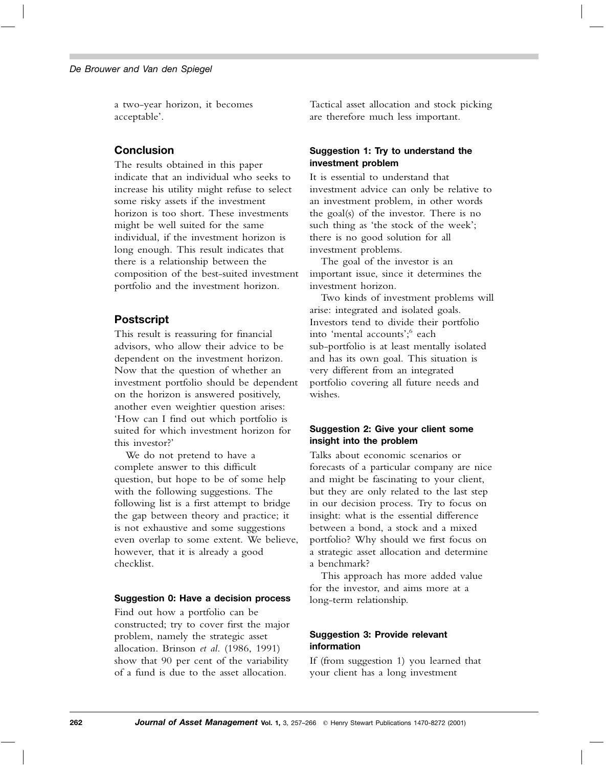a two-year horizon, it becomes acceptable'.

## **Conclusion**

The results obtained in this paper indicate that an individual who seeks to increase his utility might refuse to select some risky assets if the investment horizon is too short. These investments might be well suited for the same individual, if the investment horizon is long enough. This result indicates that there is a relationship between the composition of the best-suited investment portfolio and the investment horizon.

# **Postscript**

This result is reassuring for financial advisors, who allow their advice to be dependent on the investment horizon. Now that the question of whether an investment portfolio should be dependent on the horizon is answered positively, another even weightier question arises: 'How can I find out which portfolio is suited for which investment horizon for this investor?'

We do not pretend to have a complete answer to this difficult question, but hope to be of some help with the following suggestions. The following list is a first attempt to bridge the gap between theory and practice; it is not exhaustive and some suggestions even overlap to some extent. We believe, however, that it is already a good checklist.

#### **Suggestion 0: Have a decision process**

Find out how a portfolio can be constructed; try to cover first the major problem, namely the strategic asset allocation. Brinson *et al*. (1986, 1991) show that 90 per cent of the variability of a fund is due to the asset allocation.

Tactical asset allocation and stock picking are therefore much less important.

#### **Suggestion 1: Try to understand the investment problem**

It is essential to understand that investment advice can only be relative to an investment problem, in other words the goal(s) of the investor. There is no such thing as 'the stock of the week'; there is no good solution for all investment problems.

The goal of the investor is an important issue, since it determines the investment horizon.

Two kinds of investment problems will arise: integrated and isolated goals. Investors tend to divide their portfolio into 'mental accounts'; <sup>6</sup> each sub-portfolio is at least mentally isolated and has its own goal. This situation is very different from an integrated portfolio covering all future needs and wishes.

## **Suggestion 2: Give your client some insight into the problem**

Talks about economic scenarios or forecasts of a particular company are nice and might be fascinating to your client, but they are only related to the last step in our decision process. Try to focus on insight: what is the essential difference between a bond, a stock and a mixed portfolio? Why should we first focus on a strategic asset allocation and determine a benchmark?

This approach has more added value for the investor, and aims more at a long-term relationship.

## **Suggestion 3: Provide relevant information**

If (from suggestion 1) you learned that your client has a long investment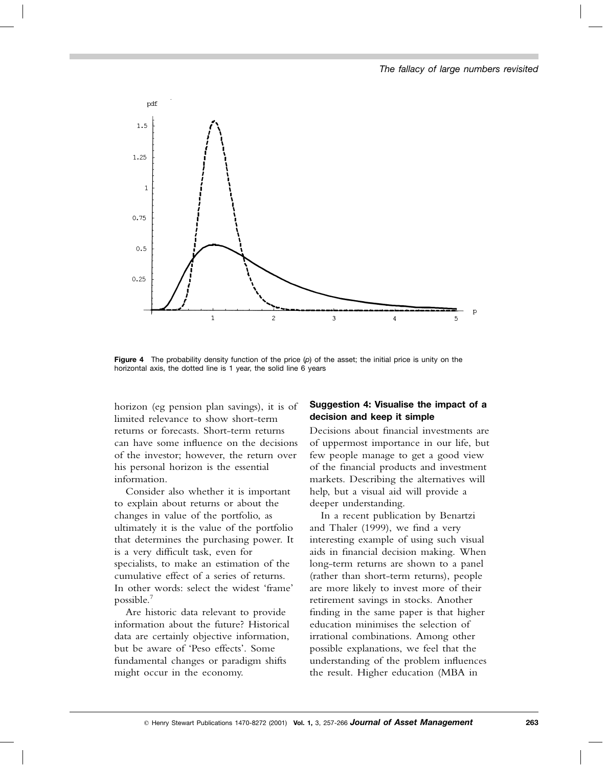

**Figure 4** The probability density function of the price (*p*) of the asset; the initial price is unity on the horizontal axis, the dotted line is 1 year, the solid line 6 years

horizon (eg pension plan savings), it is of limited relevance to show short-term returns or forecasts. Short-term returns can have some influence on the decisions of the investor; however, the return over his personal horizon is the essential information.

Consider also whether it is important to explain about returns or about the changes in value of the portfolio, as ultimately it is the value of the portfolio that determines the purchasing power. It is a very difficult task, even for specialists, to make an estimation of the cumulative effect of a series of returns. In other words: select the widest 'frame' possible.7

Are historic data relevant to provide information about the future? Historical data are certainly objective information, but be aware of 'Peso effects'. Some fundamental changes or paradigm shifts might occur in the economy.

#### **Suggestion 4: Visualise the impact of a decision and keep it simple**

Decisions about financial investments are of uppermost importance in our life, but few people manage to get a good view of the financial products and investment markets. Describing the alternatives will help, but a visual aid will provide a deeper understanding.

In a recent publication by Benartzi and Thaler (1999), we find a very interesting example of using such visual aids in financial decision making. When long-term returns are shown to a panel (rather than short-term returns), people are more likely to invest more of their retirement savings in stocks. Another finding in the same paper is that higher education minimises the selection of irrational combinations. Among other possible explanations, we feel that the understanding of the problem influences the result. Higher education (MBA in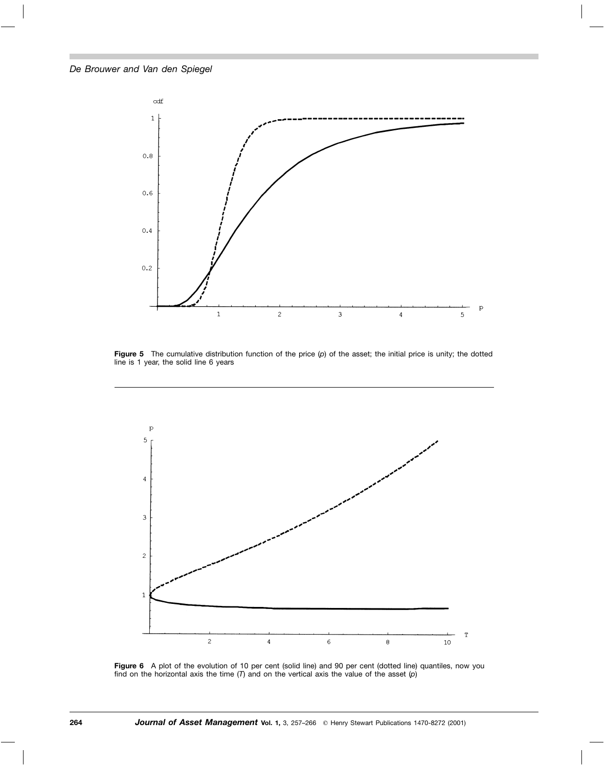

**Figure 5** The cumulative distribution function of the price (*p*) of the asset; the initial price is unity; the dotted line is 1 year, the solid line 6 years



Figure 6 A plot of the evolution of 10 per cent (solid line) and 90 per cent (dotted line) quantiles, now you find on the horizontal axis the time (*T*) and on the vertical axis the value of the asset (*p*)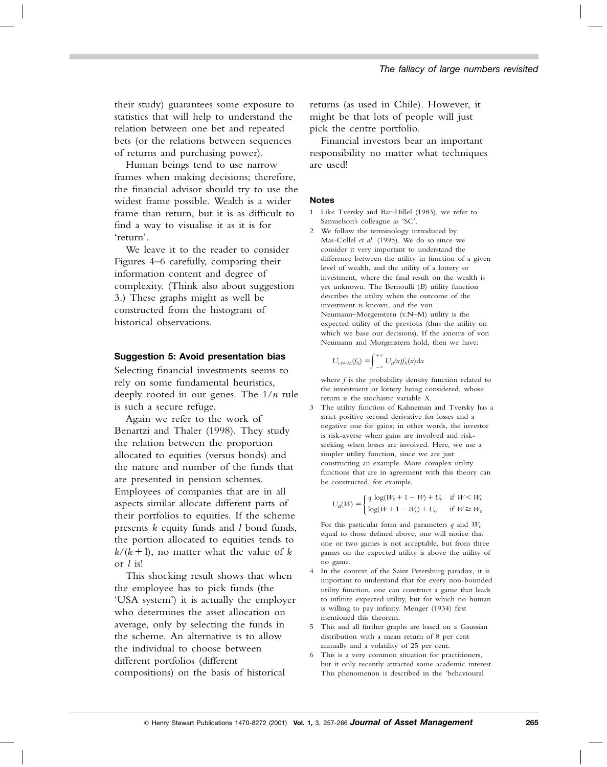their study) guarantees some exposure to statistics that will help to understand the relation between one bet and repeated bets (or the relations between sequences of returns and purchasing power).

Human beings tend to use narrow frames when making decisions; therefore, the financial advisor should try to use the widest frame possible. Wealth is a wider frame than return, but it is as difficult to find a way to visualise it as it is for 'return'.

We leave it to the reader to consider Figures 4–6 carefully, comparing their information content and degree of complexity. (Think also about suggestion 3.) These graphs might as well be constructed from the histogram of historical observations.

#### **Suggestion 5: Avoid presentation bias**

Selecting financial investments seems to rely on some fundamental heuristics, deeply rooted in our genes. The 1/*n* rule is such a secure refuge.

Again we refer to the work of Benartzi and Thaler (1998). They study the relation between the proportion allocated to equities (versus bonds) and the nature and number of the funds that are presented in pension schemes. Employees of companies that are in all aspects similar allocate different parts of their portfolios to equities. If the scheme presents *k* equity funds and *l* bond funds, the portion allocated to equities tends to  $k/(k+1)$ , no matter what the value of *k* or *l* is!

This shocking result shows that when the employee has to pick funds (the 'USA system') it is actually the employer who determines the asset allocation on average, only by selecting the funds in the scheme. An alternative is to allow the individual to choose between different portfolios (different compositions) on the basis of historical

returns (as used in Chile). However, it might be that lots of people will just pick the centre portfolio.

Financial investors bear an important responsibility no matter what techniques are used!

#### **Notes**

- 1 Like Tversky and Bar-Hillel (1983), we refer to Samuelson's colleague as 'SC'.
- 2 We follow the terminology introduced by Mas-Collel *et al*. (1995). We do so since we consider it very important to understand the difference between the utility in function of a given level of wealth, and the utility of a lottery or investment, where the final result on the wealth is yet unknown. The Bernoulli (*B*) utility function describes the utility when the outcome of the investment is known, and the von Neumann–Morgenstern (v.N–M) utility is the expected utility of the previous (thus the utility on which we base our decisions). If the axioms of von Neumann and Morgenstern hold, then we have:

$$
U_{v.N-M}(f_X) = \int_{-\infty}^{+\infty} U_B(x) f_X(x) \mathrm{d}x
$$

where *f* is the probability density function related to the investment or lottery being considered, whose return is the stochastic variable *X*.

3 The utility function of Kahneman and Tversky has a strict positive second derivative for losses and a negative one for gains; in other words, the investor is risk-averse when gains are involved and riskseeking when losses are involved. Here, we use a simpler utility function, since we are just constructing an example. More complex utility functions that are in agreement with this theory can be constructed, for example,

$$
U_B(W) = \begin{cases} q \log(W_0 + 1 - W) + U_0 & \text{if } W < W_0 \\ \log(W + 1 - W_0) + U_0 & \text{if } W \ge W_0 \end{cases}
$$

For this particular form and parameters  $q$  and  $W_0$ equal to those defined above, one will notice that one or two games is not acceptable, but from three games on the expected utility is above the utility of no game.

- 4 In the context of the Saint Petersburg paradox, it is important to understand that for every non-bounded utility function, one can construct a game that leads to infinite expected utility, but for which no human is willing to pay infinity. Menger (1934) first mentioned this theorem.
- 5 This and all further graphs are based on a Gaussian distribution with a mean return of 8 per cent annually and a volatility of 25 per cent.
- 6 This is a very common situation for practitioners, but it only recently attracted some academic interest. This phenomenon is described in the 'behavioural